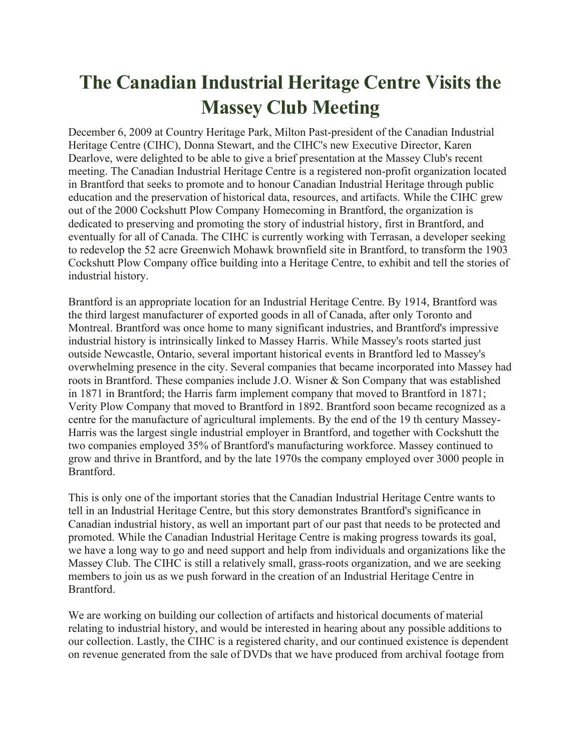## **The Canadian Industrial Heritage Centre Visits the Massey Club Meeting**

December 6, 2009 at Country Heritage Park, Milton Past-president of the Canadian Industrial Heritage Centre (CIHC), Donna Stewart, and the CIHC's new Executive Director, Karen Dearlove, were delighted to be able to give a brief presentation at the Massey Club's recent meeting. The Canadian Industrial Heritage Centre is a registered non-profit organization located in Brantford that seeks to promote and to honour Canadian Industrial Heritage through public education and the preservation of historical data, resources, and artifacts. While the CIHC grew out of the 2000 Cockshutt Plow Company Homecoming in Brantford, the organization is dedicated to preserving and promoting the story of industrial history, first in Brantford, and eventually for all of Canada. The CIHC is currently working with Terrasan, a developer seeking to redevelop the 52 acre Greenwich Mohawk brownfield site in Brantford, to transform the 1903 Cockshutt Plow Company office building into a Heritage Centre, to exhibit and tell the stories of industrial history.

Brantford is an appropriate location for an Industrial Heritage Centre. By 1914, Brantford was the third largest manufacturer of exported goods in all of Canada, after only Toronto and Montreal. Brantford was once home to many significant industries, and Brantford's impressive industrial history is intrinsically linked to Massey Harris. While Massey's roots started just outside Newcastle, Ontario, several important historical events in Brantford led to Massey's overwhelming presence in the city. Several companies that became incorporated into Massey had roots in Brantford. These companies include J.O. Wisner & Son Company that was established in 1871 in Brantford; the Harris farm implement company that moved to Brantford in 1871; Verity Plow Company that moved to Brantford in 1892. Brantford soon became recognized as a centre for the manufacture of agricultural implements. By the end of the 19 th century Massey-Harris was the largest single industrial employer in Brantford, and together with Cockshutt the two companies employed 35% of Brantford's manufacturing workforce. Massey continued to grow and thrive in Brantford, and by the late 1970s the company employed over 3000 people in Brantford.

This is only one of the important stories that the Canadian Industrial Heritage Centre wants to tell in an Industrial Heritage Centre, but this story demonstrates Brantford's significance in Canadian industrial history, as well an important part of our past that needs to be protected and promoted. While the Canadian Industrial Heritage Centre is making progress towards its goal, we have a long way to go and need support and help from individuals and organizations like the Massey Club. The CIHC is still a relatively small, grass-roots organization, and we are seeking members to join us as we push forward in the creation of an Industrial Heritage Centre in Brantford.

We are working on building our collection of artifacts and historical documents of material relating to industrial history, and would be interested in hearing about any possible additions to our collection. Lastly, the CIHC is a registered charity, and our continued existence is dependent on revenue generated from the sale of DVDs that we have produced from archival footage from